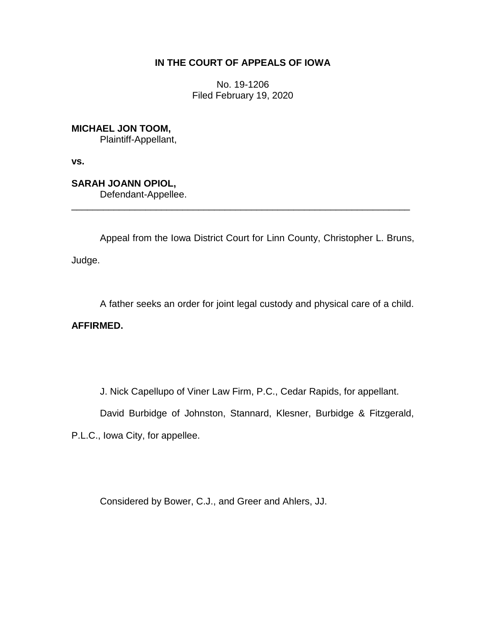# **IN THE COURT OF APPEALS OF IOWA**

No. 19-1206 Filed February 19, 2020

**MICHAEL JON TOOM,** Plaintiff-Appellant,

**vs.**

**SARAH JOANN OPIOL,** Defendant-Appellee.

Appeal from the Iowa District Court for Linn County, Christopher L. Bruns,

\_\_\_\_\_\_\_\_\_\_\_\_\_\_\_\_\_\_\_\_\_\_\_\_\_\_\_\_\_\_\_\_\_\_\_\_\_\_\_\_\_\_\_\_\_\_\_\_\_\_\_\_\_\_\_\_\_\_\_\_\_\_\_\_

Judge.

A father seeks an order for joint legal custody and physical care of a child.

**AFFIRMED.**

J. Nick Capellupo of Viner Law Firm, P.C., Cedar Rapids, for appellant.

David Burbidge of Johnston, Stannard, Klesner, Burbidge & Fitzgerald,

P.L.C., Iowa City, for appellee.

Considered by Bower, C.J., and Greer and Ahlers, JJ.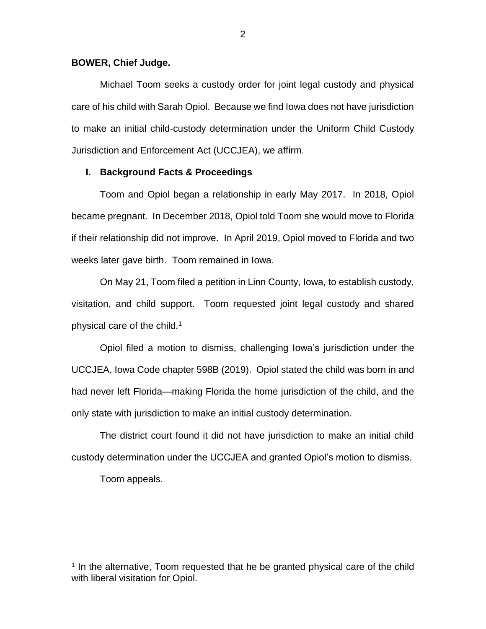### **BOWER, Chief Judge.**

Michael Toom seeks a custody order for joint legal custody and physical care of his child with Sarah Opiol. Because we find Iowa does not have jurisdiction to make an initial child-custody determination under the Uniform Child Custody Jurisdiction and Enforcement Act (UCCJEA), we affirm.

## **I. Background Facts & Proceedings**

Toom and Opiol began a relationship in early May 2017. In 2018, Opiol became pregnant. In December 2018, Opiol told Toom she would move to Florida if their relationship did not improve. In April 2019, Opiol moved to Florida and two weeks later gave birth. Toom remained in Iowa.

On May 21, Toom filed a petition in Linn County, Iowa, to establish custody, visitation, and child support. Toom requested joint legal custody and shared physical care of the child.<sup>1</sup>

Opiol filed a motion to dismiss, challenging Iowa's jurisdiction under the UCCJEA, Iowa Code chapter 598B (2019). Opiol stated the child was born in and had never left Florida—making Florida the home jurisdiction of the child, and the only state with jurisdiction to make an initial custody determination.

The district court found it did not have jurisdiction to make an initial child custody determination under the UCCJEA and granted Opiol's motion to dismiss.

Toom appeals.

 $\overline{a}$ 

<sup>&</sup>lt;sup>1</sup> In the alternative, Toom requested that he be granted physical care of the child with liberal visitation for Opiol.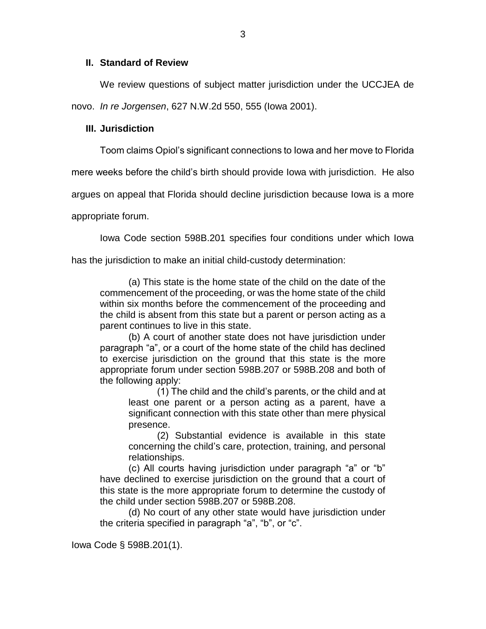## **II. Standard of Review**

We review questions of subject matter jurisdiction under the UCCJEA de novo. *In re Jorgensen*, 627 N.W.2d 550, 555 (Iowa 2001).

## **III. Jurisdiction**

Toom claims Opiol's significant connections to Iowa and her move to Florida

mere weeks before the child's birth should provide Iowa with jurisdiction. He also

argues on appeal that Florida should decline jurisdiction because Iowa is a more

appropriate forum.

Iowa Code section 598B.201 specifies four conditions under which Iowa

has the jurisdiction to make an initial child-custody determination:

(a) This state is the home state of the child on the date of the commencement of the proceeding, or was the home state of the child within six months before the commencement of the proceeding and the child is absent from this state but a parent or person acting as a parent continues to live in this state.

(b) A court of another state does not have jurisdiction under paragraph "a", or a court of the home state of the child has declined to exercise jurisdiction on the ground that this state is the more appropriate forum under section 598B.207 or 598B.208 and both of the following apply:

(1) The child and the child's parents, or the child and at least one parent or a person acting as a parent, have a significant connection with this state other than mere physical presence.

(2) Substantial evidence is available in this state concerning the child's care, protection, training, and personal relationships.

(c) All courts having jurisdiction under paragraph "a" or "b" have declined to exercise jurisdiction on the ground that a court of this state is the more appropriate forum to determine the custody of the child under section 598B.207 or 598B.208.

(d) No court of any other state would have jurisdiction under the criteria specified in paragraph "a", "b", or "c".

Iowa Code § 598B.201(1).